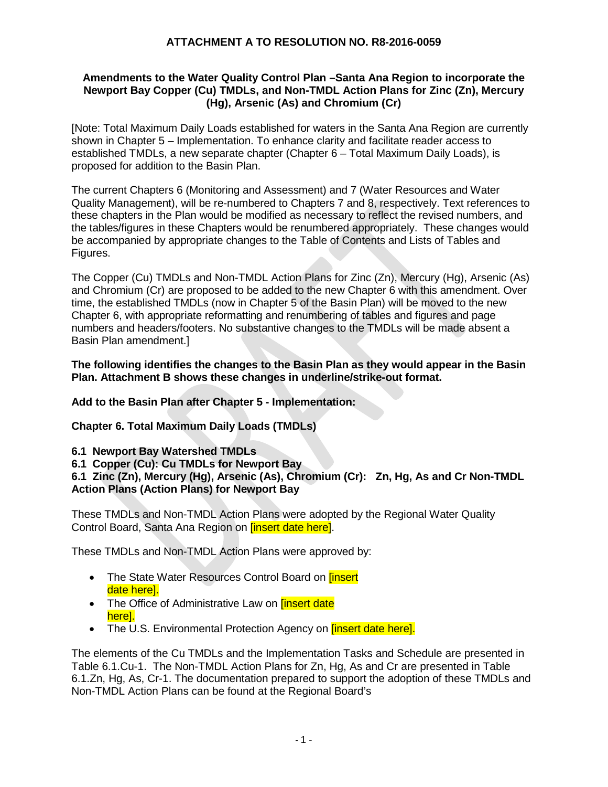### **Amendments to the Water Quality Control Plan –Santa Ana Region to incorporate the Newport Bay Copper (Cu) TMDLs, and Non-TMDL Action Plans for Zinc (Zn), Mercury (Hg), Arsenic (As) and Chromium (Cr)**

[Note: Total Maximum Daily Loads established for waters in the Santa Ana Region are currently shown in Chapter 5 – Implementation. To enhance clarity and facilitate reader access to established TMDLs, a new separate chapter (Chapter 6 – Total Maximum Daily Loads), is proposed for addition to the Basin Plan.

The current Chapters 6 (Monitoring and Assessment) and 7 (Water Resources and Water Quality Management), will be re-numbered to Chapters 7 and 8, respectively. Text references to these chapters in the Plan would be modified as necessary to reflect the revised numbers, and the tables/figures in these Chapters would be renumbered appropriately. These changes would be accompanied by appropriate changes to the Table of Contents and Lists of Tables and Figures.

The Copper (Cu) TMDLs and Non-TMDL Action Plans for Zinc (Zn), Mercury (Hg), Arsenic (As) and Chromium (Cr) are proposed to be added to the new Chapter 6 with this amendment. Over time, the established TMDLs (now in Chapter 5 of the Basin Plan) will be moved to the new Chapter 6, with appropriate reformatting and renumbering of tables and figures and page numbers and headers/footers. No substantive changes to the TMDLs will be made absent a Basin Plan amendment.]

#### **The following identifies the changes to the Basin Plan as they would appear in the Basin Plan. Attachment B shows these changes in underline/strike-out format.**

**Add to the Basin Plan after Chapter 5 - Implementation:** 

**Chapter 6. Total Maximum Daily Loads (TMDLs)**

**6.1 Newport Bay Watershed TMDLs**

**6.1 Copper (Cu): Cu TMDLs for Newport Bay** 

**6.1 Zinc (Zn), Mercury (Hg), Arsenic (As), Chromium (Cr): Zn, Hg, As and Cr Non-TMDL Action Plans (Action Plans) for Newport Bay**

These TMDLs and Non-TMDL Action Plans were adopted by the Regional Water Quality Control Board, Santa Ana Region on **[insert date here]**.

These TMDLs and Non-TMDL Action Plans were approved by:

- The State Water Resources Control Board on *[insert*] date here].
- The Office of Administrative Law on **[insert date**] here].
- The U.S. Environmental Protection Agency on *[insert date here].*

The elements of the Cu TMDLs and the Implementation Tasks and Schedule are presented in Table 6.1.Cu-1. The Non-TMDL Action Plans for Zn, Hg, As and Cr are presented in Table 6.1.Zn, Hg, As, Cr-1. The documentation prepared to support the adoption of these TMDLs and Non-TMDL Action Plans can be found at the Regional Board's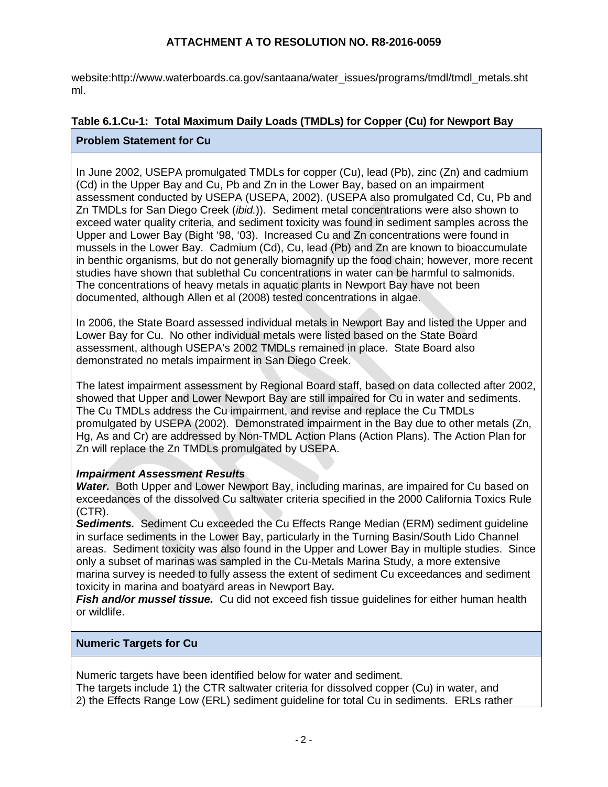website:http://www.waterboards.ca.gov/santaana/water\_issues/programs/tmdl/tmdl\_metals.sht ml.

# **Table 6.1.Cu-1: Total Maximum Daily Loads (TMDLs) for Copper (Cu) for Newport Bay**

# **Problem Statement for Cu**

In June 2002, USEPA promulgated TMDLs for copper (Cu), lead (Pb), zinc (Zn) and cadmium (Cd) in the Upper Bay and Cu, Pb and Zn in the Lower Bay, based on an impairment assessment conducted by USEPA (USEPA, 2002). (USEPA also promulgated Cd, Cu, Pb and Zn TMDLs for San Diego Creek (*ibid.*)). Sediment metal concentrations were also shown to exceed water quality criteria, and sediment toxicity was found in sediment samples across the Upper and Lower Bay (Bight '98, '03). Increased Cu and Zn concentrations were found in mussels in the Lower Bay. Cadmium (Cd), Cu, lead (Pb) and Zn are known to bioaccumulate in benthic organisms, but do not generally biomagnify up the food chain; however, more recent studies have shown that sublethal Cu concentrations in water can be harmful to salmonids. The concentrations of heavy metals in aquatic plants in Newport Bay have not been documented, although Allen et al (2008) tested concentrations in algae.

In 2006, the State Board assessed individual metals in Newport Bay and listed the Upper and Lower Bay for Cu. No other individual metals were listed based on the State Board assessment, although USEPA's 2002 TMDLs remained in place. State Board also demonstrated no metals impairment in San Diego Creek.

The latest impairment assessment by Regional Board staff, based on data collected after 2002, showed that Upper and Lower Newport Bay are still impaired for Cu in water and sediments. The Cu TMDLs address the Cu impairment, and revise and replace the Cu TMDLs promulgated by USEPA (2002). Demonstrated impairment in the Bay due to other metals (Zn, Hg, As and Cr) are addressed by Non-TMDL Action Plans (Action Plans). The Action Plan for Zn will replace the Zn TMDLs promulgated by USEPA.

### *Impairment Assessment Results*

*Water.* Both Upper and Lower Newport Bay, including marinas, are impaired for Cu based on exceedances of the dissolved Cu saltwater criteria specified in the 2000 California Toxics Rule (CTR).

*Sediments.* Sediment Cu exceeded the Cu Effects Range Median (ERM) sediment guideline in surface sediments in the Lower Bay, particularly in the Turning Basin/South Lido Channel areas. Sediment toxicity was also found in the Upper and Lower Bay in multiple studies. Since only a subset of marinas was sampled in the Cu-Metals Marina Study, a more extensive marina survey is needed to fully assess the extent of sediment Cu exceedances and sediment toxicity in marina and boatyard areas in Newport Bay*.* 

**Fish and/or mussel tissue.** Cu did not exceed fish tissue guidelines for either human health or wildlife.

### **Numeric Targets for Cu**

Numeric targets have been identified below for water and sediment. The targets include 1) the CTR saltwater criteria for dissolved copper (Cu) in water, and 2) the Effects Range Low (ERL) sediment guideline for total Cu in sediments. ERLs rather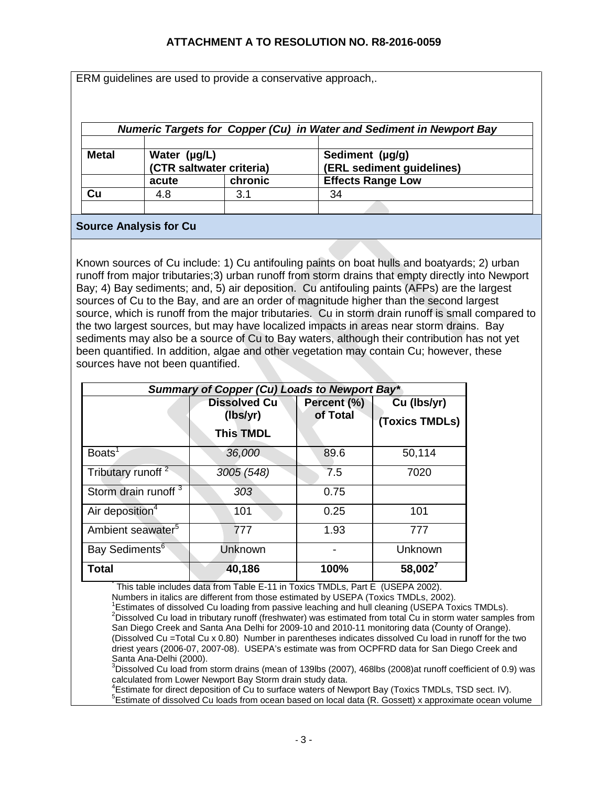ERM guidelines are used to provide a conservative approach,.

| <b>Numeric Targets for Copper (Cu) in Water and Sediment in Newport Bay</b> |                                          |         |                                              |
|-----------------------------------------------------------------------------|------------------------------------------|---------|----------------------------------------------|
| <b>Metal</b>                                                                | Water (µg/L)<br>(CTR saltwater criteria) |         | Sediment (µg/g)<br>(ERL sediment guidelines) |
|                                                                             | acute                                    | chronic | <b>Effects Range Low</b>                     |
| Cu                                                                          | 4.8                                      | 3.1     | 34                                           |
|                                                                             |                                          |         |                                              |

### **Source Analysis for Cu**

Known sources of Cu include: 1) Cu antifouling paints on boat hulls and boatyards; 2) urban runoff from major tributaries;3) urban runoff from storm drains that empty directly into Newport Bay; 4) Bay sediments; and, 5) air deposition. Cu antifouling paints (AFPs) are the largest sources of Cu to the Bay, and are an order of magnitude higher than the second largest source, which is runoff from the major tributaries. Cu in storm drain runoff is small compared to the two largest sources, but may have localized impacts in areas near storm drains. Bay sediments may also be a source of Cu to Bay waters, although their contribution has not yet been quantified. In addition, algae and other vegetation may contain Cu; however, these sources have not been quantified.

| Summary of Copper (Cu) Loads to Newport Bay* |                                                     |                         |                               |
|----------------------------------------------|-----------------------------------------------------|-------------------------|-------------------------------|
|                                              | <b>Dissolved Cu</b><br>(lbs/yr)<br><b>This TMDL</b> | Percent (%)<br>of Total | Cu (lbs/yr)<br>(Toxics TMDLs) |
| Boats <sup>1</sup>                           | 36,000                                              | 89.6                    | 50,114                        |
| Tributary runoff <sup>2</sup>                | 3005 (548)                                          | 7.5                     | 7020                          |
| Storm drain runoff <sup>3</sup>              | 303                                                 | 0.75                    |                               |
| Air deposition <sup>4</sup>                  | 101                                                 | 0.25                    | 101                           |
| Ambient seawater <sup>5</sup>                | 777                                                 | 1.93                    | 777                           |
| Bay Sediments <sup>6</sup>                   | Unknown                                             |                         | Unknown                       |
| Total                                        | 40,186                                              | 100%                    | $58,002^7$                    |

This table includes data from Table E-11 in Toxics TMDLs, Part E (USEPA 2002).

Numbers in italics are different from those estimated by USEPA (Toxics TMDLs, 2002). 1

<sup>1</sup>Estimates of dissolved Cu loading from passive leaching and hull cleaning (USEPA Toxics TMDLs). <sup>2</sup>Dissolved Cu load in tributary runoff (freshwater) was estimated from total Cu in storm water samples from San Diego Creek and Santa Ana Delhi for 2009-10 and 2010-11 monitoring data (County of Orange). (Dissolved Cu =Total Cu x 0.80) Number in parentheses indicates dissolved Cu load in runoff for the two driest years (2006-07, 2007-08). USEPA's estimate was from OCPFRD data for San Diego Creek and<br>Santa Ana-Delhi (2000).

Santa Ana-Delhi (2000).<br><sup>3</sup>Dissolved Cu load from storm drains (mean of 139lbs (2007), 468lbs (2008)at runoff coefficient of 0.9) was calculated from Lower Newport Bay Storm drain study data. 4

<sup>4</sup>Estimate for direct deposition of Cu to surface waters of Newport Bay (Toxics TMDLs, TSD sect. IV).

<sup>5</sup>Estimate of dissolved Cu loads from ocean based on local data (R. Gossett) x approximate ocean volume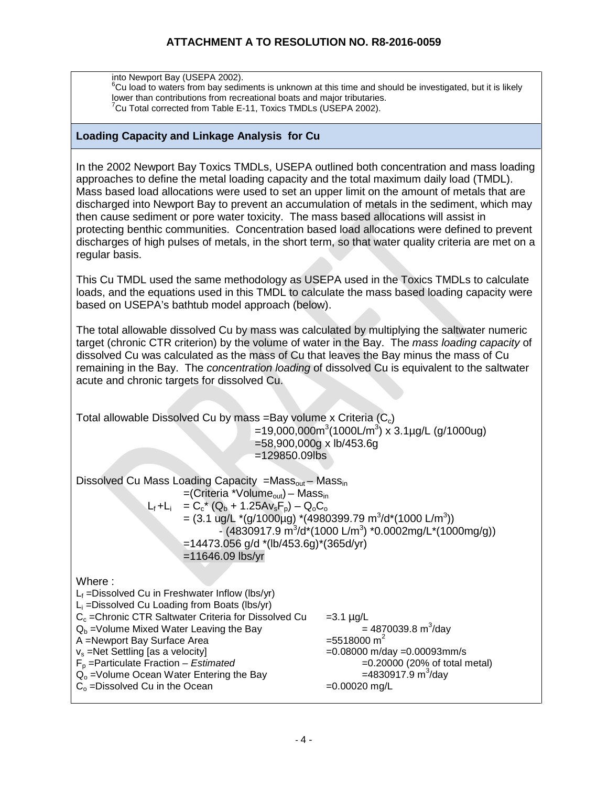into Newport Bay (USEPA 2002).

 ${}^{6}$ Cu load to waters from bay sediments is unknown at this time and should be investigated, but it is likely lower than contributions from recreational boats and major tributaries.  $7$ Cu Total corrected from Table E-11, Toxics TMDLs (USEPA 2002).

#### **Loading Capacity and Linkage Analysis for Cu**

In the 2002 Newport Bay Toxics TMDLs, USEPA outlined both concentration and mass loading approaches to define the metal loading capacity and the total maximum daily load (TMDL). Mass based load allocations were used to set an upper limit on the amount of metals that are discharged into Newport Bay to prevent an accumulation of metals in the sediment, which may then cause sediment or pore water toxicity. The mass based allocations will assist in protecting benthic communities. Concentration based load allocations were defined to prevent discharges of high pulses of metals, in the short term, so that water quality criteria are met on a regular basis.

This Cu TMDL used the same methodology as USEPA used in the Toxics TMDLs to calculate loads, and the equations used in this TMDL to calculate the mass based loading capacity were based on USEPA's bathtub model approach (below).

The total allowable dissolved Cu by mass was calculated by multiplying the saltwater numeric target (chronic CTR criterion) by the volume of water in the Bay. The *mass loading capacity* of dissolved Cu was calculated as the mass of Cu that leaves the Bay minus the mass of Cu remaining in the Bay. The *concentration loading* of dissolved Cu is equivalent to the saltwater acute and chronic targets for dissolved Cu.

| Total allowable Dissolved Cu by mass = Bay volume x Criteria $(C_c)$<br>$=58,900,000g \times lb/453.6g$<br>$=129850.09$ lbs                                                                                                                                                                                                                                                                                                | $=19,000,000$ m <sup>3</sup> (1000L/m <sup>3</sup> ) x 3.1µg/L (g/1000ug)                                                                                                                                          |
|----------------------------------------------------------------------------------------------------------------------------------------------------------------------------------------------------------------------------------------------------------------------------------------------------------------------------------------------------------------------------------------------------------------------------|--------------------------------------------------------------------------------------------------------------------------------------------------------------------------------------------------------------------|
| Dissolved Cu Mass Loading Capacity =Mass <sub>out</sub> – Mass <sub>in</sub><br>$=$ (Criteria *Volume <sub>out</sub> ) – Mass <sub>in</sub><br>$L_f + L_i = C_c^* (Q_b + 1.25Av_sF_p) - Q_0C_o$<br>= $(3.1 \text{ ug/L}*(g/1000\mu g)*(4980399.79 \text{ m}^3/d*(1000 \text{ L/m}^3))$<br>$=14473.056$ g/d *(lb/453.6g)*(365d/yr)<br>$=11646.09$ lbs/yr                                                                    | - $(4830917.9 \text{ m}^3/\text{d}^*(1000 \text{ L/m}^3)$ *0.0002mg/L*(1000mg/g))                                                                                                                                  |
| Where:<br>$L_f$ = Dissolved Cu in Freshwater Inflow (lbs/yr)<br>$L_i$ = Dissolved Cu Loading from Boats (lbs/yr)<br>$C_c$ = Chronic CTR Saltwater Criteria for Dissolved Cu<br>$Q_b$ =Volume Mixed Water Leaving the Bay<br>A =Newport Bay Surface Area<br>$v_s$ =Net Settling [as a velocity]<br>$F_p$ =Particulate Fraction – Estimated<br>$Qo$ =Volume Ocean Water Entering the Bay<br>$Co$ = Dissolved Cu in the Ocean | $=3.1 \mu g/L$<br>$= 4870039.8 \text{ m}^3/\text{day}$<br>$= 5518000 \text{ m}^2$<br>$=0.08000$ m/day $=0.00093$ mm/s<br>$=0.20000$ (20% of total metal)<br>$=4830917.9 \text{ m}^3/\text{day}$<br>$=0.00020$ mg/L |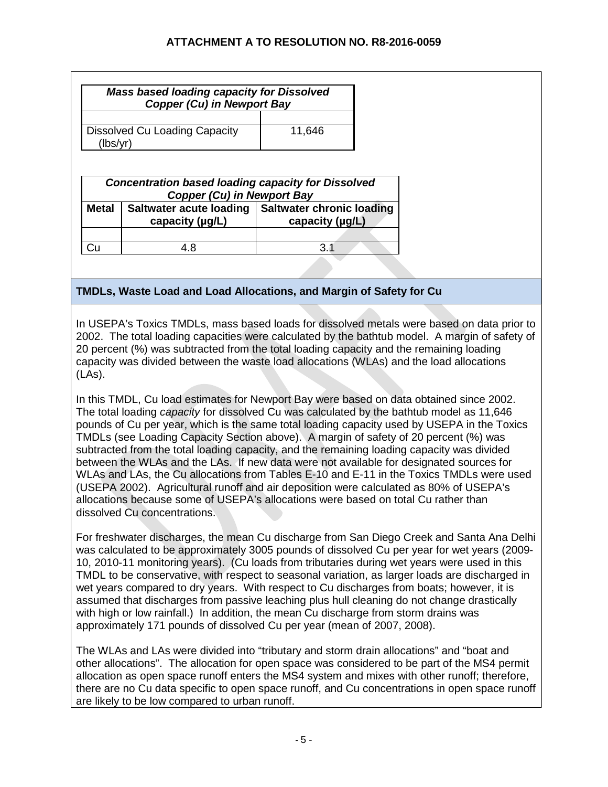|                                                     | <b>Mass based loading capacity for Dissolved</b><br><b>Copper (Cu) in Newport Bay</b>          |                                                          |
|-----------------------------------------------------|------------------------------------------------------------------------------------------------|----------------------------------------------------------|
| Dissolved Cu Loading Capacity<br>11,646<br>(lbs/yr) |                                                                                                |                                                          |
|                                                     | <b>Concentration based loading capacity for Dissolved</b><br><b>Copper (Cu) in Newport Bay</b> |                                                          |
| <b>Metal</b>                                        | Saltwater acute loading<br>capacity $(\mu g/L)$                                                | <b>Saltwater chronic loading</b><br>capacity $(\mu g/L)$ |
|                                                     | 4.8                                                                                            | 3.1                                                      |
|                                                     |                                                                                                |                                                          |

# **TMDLs, Waste Load and Load Allocations, and Margin of Safety for Cu**

In USEPA's Toxics TMDLs, mass based loads for dissolved metals were based on data prior to 2002. The total loading capacities were calculated by the bathtub model. A margin of safety of 20 percent (%) was subtracted from the total loading capacity and the remaining loading capacity was divided between the waste load allocations (WLAs) and the load allocations (LAs).

In this TMDL, Cu load estimates for Newport Bay were based on data obtained since 2002. The total loading *capacity* for dissolved Cu was calculated by the bathtub model as 11,646 pounds of Cu per year, which is the same total loading capacity used by USEPA in the Toxics TMDLs (see Loading Capacity Section above). A margin of safety of 20 percent (%) was subtracted from the total loading capacity, and the remaining loading capacity was divided between the WLAs and the LAs. If new data were not available for designated sources for WLAs and LAs, the Cu allocations from Tables E-10 and E-11 in the Toxics TMDLs were used (USEPA 2002). Agricultural runoff and air deposition were calculated as 80% of USEPA's allocations because some of USEPA's allocations were based on total Cu rather than dissolved Cu concentrations.

For freshwater discharges, the mean Cu discharge from San Diego Creek and Santa Ana Delhi was calculated to be approximately 3005 pounds of dissolved Cu per year for wet years (2009- 10, 2010-11 monitoring years). (Cu loads from tributaries during wet years were used in this TMDL to be conservative, with respect to seasonal variation, as larger loads are discharged in wet years compared to dry years. With respect to Cu discharges from boats; however, it is assumed that discharges from passive leaching plus hull cleaning do not change drastically with high or low rainfall.) In addition, the mean Cu discharge from storm drains was approximately 171 pounds of dissolved Cu per year (mean of 2007, 2008).

The WLAs and LAs were divided into "tributary and storm drain allocations" and "boat and other allocations". The allocation for open space was considered to be part of the MS4 permit allocation as open space runoff enters the MS4 system and mixes with other runoff; therefore, there are no Cu data specific to open space runoff, and Cu concentrations in open space runoff are likely to be low compared to urban runoff.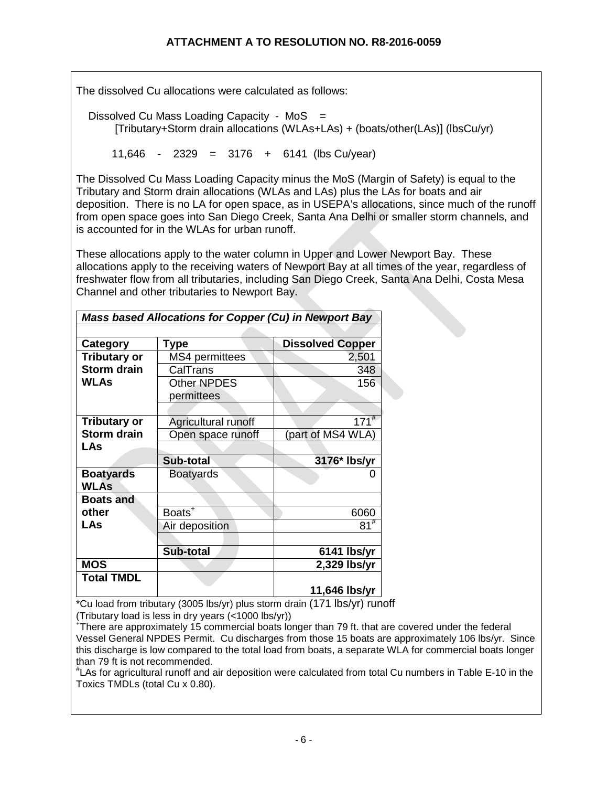The dissolved Cu allocations were calculated as follows:

Dissolved Cu Mass Loading Capacity -  $MoS =$ [Tributary+Storm drain allocations (WLAs+LAs) + (boats/other(LAs)] (lbsCu/yr)

11,646 - 2329 = 3176 + 6141 (lbs Cu/year)

The Dissolved Cu Mass Loading Capacity minus the MoS (Margin of Safety) is equal to the Tributary and Storm drain allocations (WLAs and LAs) plus the LAs for boats and air deposition. There is no LA for open space, as in USEPA's allocations, since much of the runoff from open space goes into San Diego Creek, Santa Ana Delhi or smaller storm channels, and is accounted for in the WLAs for urban runoff.

These allocations apply to the water column in Upper and Lower Newport Bay. These allocations apply to the receiving waters of Newport Bay at all times of the year, regardless of freshwater flow from all tributaries, including San Diego Creek, Santa Ana Delhi, Costa Mesa Channel and other tributaries to Newport Bay.

| Mass based Allocations for Copper (Cu) in Newport Bay |                     |                         |
|-------------------------------------------------------|---------------------|-------------------------|
|                                                       |                     |                         |
| Category                                              | Type                | <b>Dissolved Copper</b> |
| <b>Tributary or</b>                                   | MS4 permittees      | 2,501                   |
| <b>Storm drain</b>                                    | CalTrans            | 348                     |
| <b>WLAs</b>                                           | <b>Other NPDES</b>  | 156                     |
|                                                       | permittees          |                         |
|                                                       |                     |                         |
| <b>Tributary or</b>                                   | Agricultural runoff | $171$ <sup>#</sup>      |
| <b>Storm drain</b>                                    | Open space runoff   | (part of MS4 WLA)       |
| LAs                                                   |                     |                         |
|                                                       | Sub-total           | 3176* Ibs/yr            |
| <b>Boatyards</b>                                      | <b>Boatyards</b>    | 0                       |
| WLAs                                                  |                     |                         |
| <b>Boats and</b>                                      |                     |                         |
| other                                                 | Boats <sup>+</sup>  | 6060                    |
| <b>LAs</b>                                            | Air deposition      | $81^{#}$                |
|                                                       |                     |                         |
|                                                       | Sub-total           | 6141 lbs/yr             |
| <b>MOS</b>                                            |                     | 2,329 lbs/yr            |
|                                                       |                     |                         |
| <b>Total TMDL</b>                                     |                     |                         |

\*Cu load from tributary (3005 lbs/yr) plus storm drain (171 lbs/yr) runoff (Tributary load is less in dry years (<1000 lbs/yr))

+ There are approximately 15 commercial boats longer than 79 ft. that are covered under the federal Vessel General NPDES Permit. Cu discharges from those 15 boats are approximately 106 lbs/yr. Since this discharge is low compared to the total load from boats, a separate WLA for commercial boats longer than 79 ft is not recommended.

# LAs for agricultural runoff and air deposition were calculated from total Cu numbers in Table E-10 in the Toxics TMDLs (total Cu x 0.80).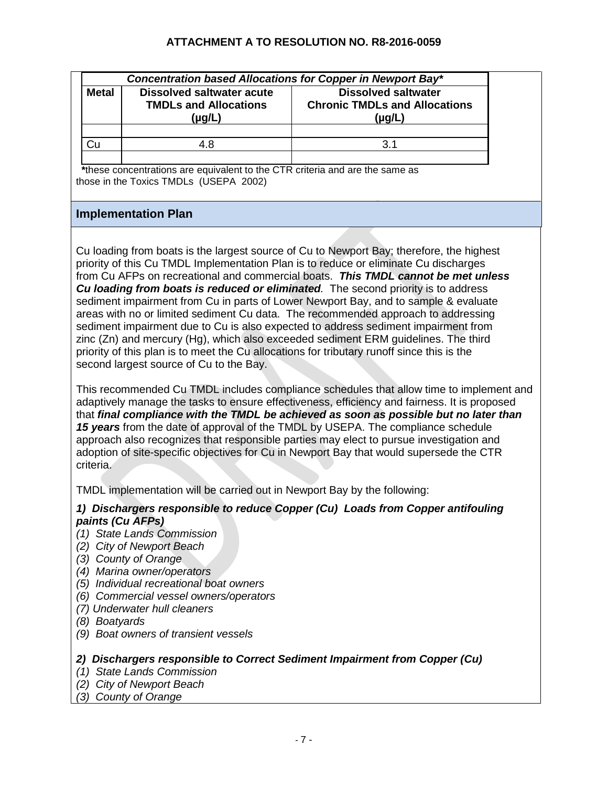| <b>Metal</b> | Concentration based Allocations for Copper in Newport Bay*<br><b>Dissolved saltwater acute</b><br><b>TMDLs and Allocations</b><br>$(\mu g/L)$ | <b>Dissolved saltwater</b><br><b>Chronic TMDLs and Allocations</b><br>$(\mu g/L)$ |
|--------------|-----------------------------------------------------------------------------------------------------------------------------------------------|-----------------------------------------------------------------------------------|
|              |                                                                                                                                               | ′ 3                                                                               |

 **\***these concentrations are equivalent to the CTR criteria and are the same as those in the Toxics TMDLs (USEPA 2002)

# **Implementation Plan**

Cu loading from boats is the largest source of Cu to Newport Bay; therefore, the highest priority of this Cu TMDL Implementation Plan is to reduce or eliminate Cu discharges from Cu AFPs on recreational and commercial boats. *This TMDL cannot be met unless Cu loading from boats is reduced or eliminated.* The second priority is to address sediment impairment from Cu in parts of Lower Newport Bay, and to sample & evaluate areas with no or limited sediment Cu data. The recommended approach to addressing sediment impairment due to Cu is also expected to address sediment impairment from zinc (Zn) and mercury (Hg), which also exceeded sediment ERM guidelines. The third priority of this plan is to meet the Cu allocations for tributary runoff since this is the second largest source of Cu to the Bay.

This recommended Cu TMDL includes compliance schedules that allow time to implement and adaptively manage the tasks to ensure effectiveness, efficiency and fairness. It is proposed that *final compliance with the TMDL be achieved as soon as possible but no later than 15 years* from the date of approval of the TMDL by USEPA. The compliance schedule approach also recognizes that responsible parties may elect to pursue investigation and adoption of site-specific objectives for Cu in Newport Bay that would supersede the CTR criteria.

TMDL implementation will be carried out in Newport Bay by the following:

# *1) Dischargers responsible to reduce Copper (Cu) Loads from Copper antifouling paints (Cu AFPs)*

- *(1) State Lands Commission*
- *(2) City of Newport Beach*
- *(3) County of Orange*
- *(4) Marina owner/operators*
- *(5) Individual recreational boat owners*
- *(6) Commercial vessel owners/operators*
- *(7) Underwater hull cleaners*
- *(8) Boatyards*
- *(9) Boat owners of transient vessels*

### *2) Dischargers responsible to Correct Sediment Impairment from Copper (Cu)*

- *(1) State Lands Commission*
- *(2) City of Newport Beach*
- *(3) County of Orange*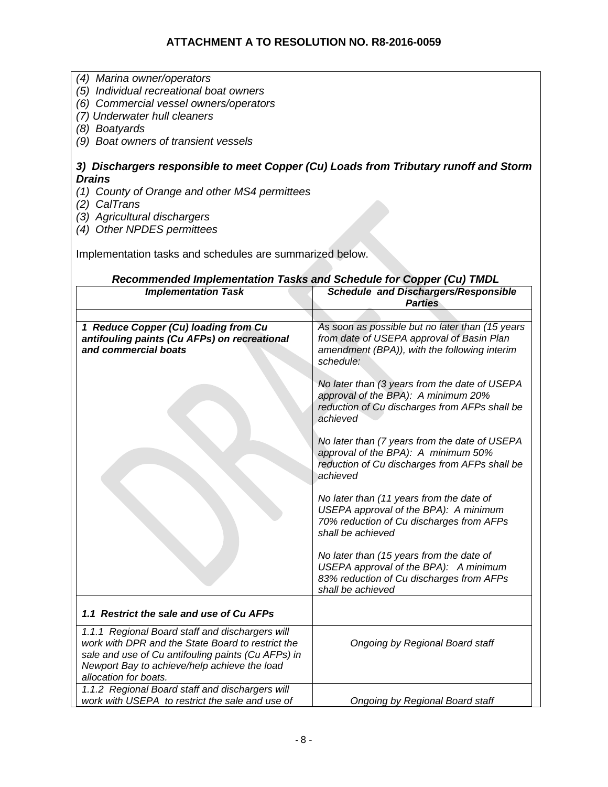- *(4) Marina owner/operators*
- *(5) Individual recreational boat owners*
- *(6) Commercial vessel owners/operators*
- *(7) Underwater hull cleaners*
- *(8) Boatyards*
- *(9) Boat owners of transient vessels*

### *3) Dischargers responsible to meet Copper (Cu) Loads from Tributary runoff and Storm Drains*

- *(1) County of Orange and other MS4 permittees*
- *(2) CalTrans*
- *(3) Agricultural dischargers*
- *(4) Other NPDES permittees*

Implementation tasks and schedules are summarized below.

#### *Recommended Implementation Tasks and Schedule for Copper (Cu) TMDL*

| coommonaca implementation rasks and ocheaute for copper (ou) rimbL<br><b>Implementation Task</b>                                                                                                                                    | <b>Schedule and Dischargers/Responsible</b><br><b>Parties</b>                                                                                             |
|-------------------------------------------------------------------------------------------------------------------------------------------------------------------------------------------------------------------------------------|-----------------------------------------------------------------------------------------------------------------------------------------------------------|
|                                                                                                                                                                                                                                     |                                                                                                                                                           |
| 1 Reduce Copper (Cu) loading from Cu<br>antifouling paints (Cu AFPs) on recreational<br>and commercial boats                                                                                                                        | As soon as possible but no later than (15 years<br>from date of USEPA approval of Basin Plan<br>amendment (BPA)), with the following interim<br>schedule: |
|                                                                                                                                                                                                                                     | No later than (3 years from the date of USEPA<br>approval of the BPA): A minimum 20%<br>reduction of Cu discharges from AFPs shall be<br>achieved         |
|                                                                                                                                                                                                                                     | No later than (7 years from the date of USEPA<br>approval of the BPA): A minimum 50%<br>reduction of Cu discharges from AFPs shall be<br>achieved         |
|                                                                                                                                                                                                                                     | No later than (11 years from the date of<br>USEPA approval of the BPA): A minimum<br>70% reduction of Cu discharges from AFPs<br>shall be achieved        |
|                                                                                                                                                                                                                                     | No later than (15 years from the date of<br>USEPA approval of the BPA): A minimum<br>83% reduction of Cu discharges from AFPs<br>shall be achieved        |
| 1.1 Restrict the sale and use of Cu AFPs                                                                                                                                                                                            |                                                                                                                                                           |
| 1.1.1 Regional Board staff and dischargers will<br>work with DPR and the State Board to restrict the<br>sale and use of Cu antifouling paints (Cu AFPs) in<br>Newport Bay to achieve/help achieve the load<br>allocation for boats. | Ongoing by Regional Board staff                                                                                                                           |
| 1.1.2 Regional Board staff and dischargers will<br>work with USEPA to restrict the sale and use of                                                                                                                                  | Ongoing by Regional Board staff                                                                                                                           |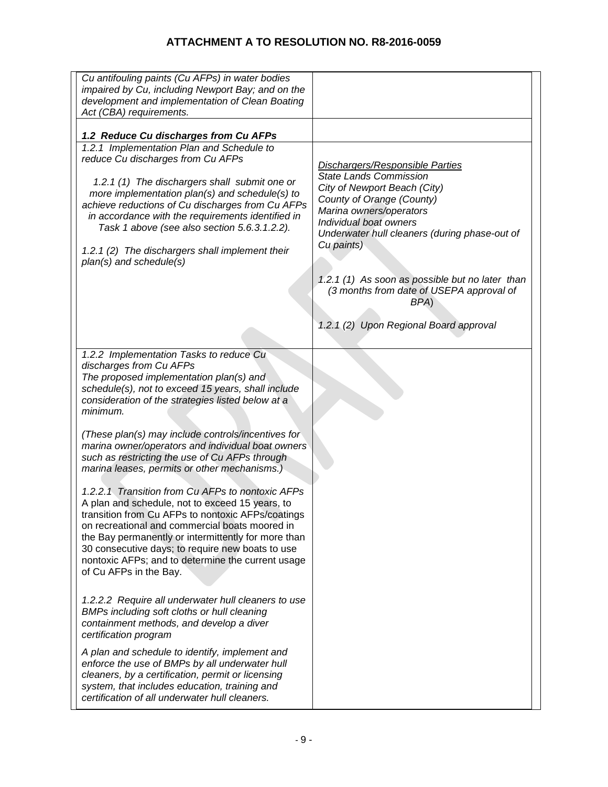| Cu antifouling paints (Cu AFPs) in water bodies                                                         |                                                                                             |
|---------------------------------------------------------------------------------------------------------|---------------------------------------------------------------------------------------------|
| impaired by Cu, including Newport Bay; and on the                                                       |                                                                                             |
| development and implementation of Clean Boating<br>Act (CBA) requirements.                              |                                                                                             |
|                                                                                                         |                                                                                             |
| 1.2 Reduce Cu discharges from Cu AFPs                                                                   |                                                                                             |
| 1.2.1 Implementation Plan and Schedule to                                                               |                                                                                             |
| reduce Cu discharges from Cu AFPs                                                                       | <b>Dischargers/Responsible Parties</b>                                                      |
|                                                                                                         | <b>State Lands Commission</b>                                                               |
| 1.2.1 (1) The dischargers shall submit one or<br>more implementation plan(s) and schedule(s) to         | City of Newport Beach (City)                                                                |
| achieve reductions of Cu discharges from Cu AFPs                                                        | County of Orange (County)                                                                   |
| in accordance with the requirements identified in                                                       | Marina owners/operators<br>Individual boat owners                                           |
| Task 1 above (see also section 5.6.3.1.2.2).                                                            | Underwater hull cleaners (during phase-out of                                               |
|                                                                                                         | Cu paints)                                                                                  |
| 1.2.1 (2) The dischargers shall implement their<br>plan(s) and schedule(s)                              |                                                                                             |
|                                                                                                         |                                                                                             |
|                                                                                                         | 1.2.1 (1) As soon as possible but no later than<br>(3 months from date of USEPA approval of |
|                                                                                                         | BPA)                                                                                        |
|                                                                                                         |                                                                                             |
|                                                                                                         | 1.2.1 (2) Upon Regional Board approval                                                      |
|                                                                                                         |                                                                                             |
| 1.2.2 Implementation Tasks to reduce Cu                                                                 |                                                                                             |
| discharges from Cu AFPs                                                                                 |                                                                                             |
| The proposed implementation plan(s) and                                                                 |                                                                                             |
| schedule(s), not to exceed 15 years, shall include<br>consideration of the strategies listed below at a |                                                                                             |
| minimum.                                                                                                |                                                                                             |
|                                                                                                         |                                                                                             |
| (These plan(s) may include controls/incentives for                                                      |                                                                                             |
| marina owner/operators and individual boat owners                                                       |                                                                                             |
| such as restricting the use of Cu AFPs through<br>marina leases, permits or other mechanisms.)          |                                                                                             |
|                                                                                                         |                                                                                             |
| 1.2.2.1 Transition from Cu AFPs to nontoxic AFPs                                                        |                                                                                             |
| A plan and schedule, not to exceed 15 years, to                                                         |                                                                                             |
| transition from Cu AFPs to nontoxic AFPs/coatings                                                       |                                                                                             |
| on recreational and commercial boats moored in                                                          |                                                                                             |
| the Bay permanently or intermittently for more than<br>30 consecutive days; to require new boats to use |                                                                                             |
| nontoxic AFPs; and to determine the current usage                                                       |                                                                                             |
| of Cu AFPs in the Bay.                                                                                  |                                                                                             |
|                                                                                                         |                                                                                             |
| 1.2.2.2 Require all underwater hull cleaners to use                                                     |                                                                                             |
| BMPs including soft cloths or hull cleaning                                                             |                                                                                             |
| containment methods, and develop a diver                                                                |                                                                                             |
| certification program                                                                                   |                                                                                             |
| A plan and schedule to identify, implement and                                                          |                                                                                             |
| enforce the use of BMPs by all underwater hull                                                          |                                                                                             |
| cleaners, by a certification, permit or licensing                                                       |                                                                                             |
| system, that includes education, training and                                                           |                                                                                             |
| certification of all underwater hull cleaners.                                                          |                                                                                             |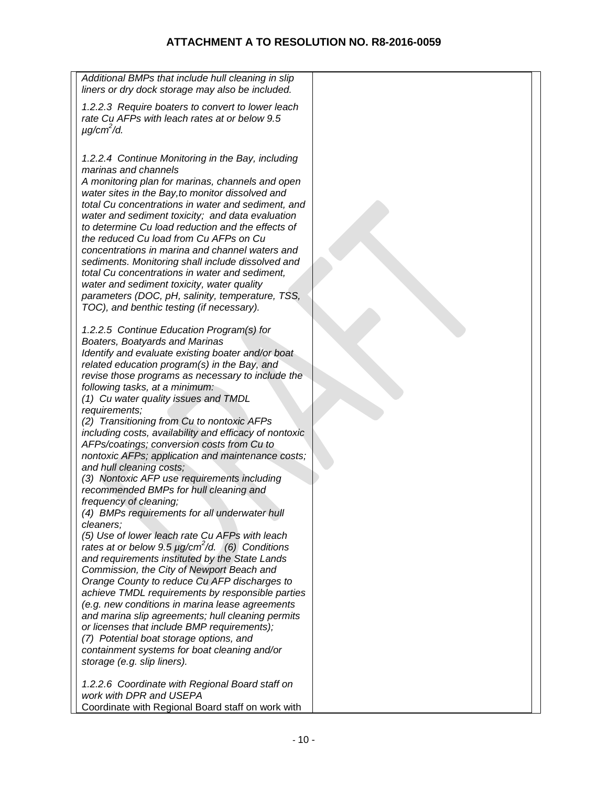| Additional BMPs that include hull cleaning in slip<br>liners or dry dock storage may also be included.                                                                                                                                                                                                                                                                                                                                                                                                                                                                                                                                                                                                                                                                                                                                                                                                                                                                                                                                                                                                                                                                                                                                                                                                                                                                                                                                                                                                                                                                                                                                                                                                                                                                                                                                                                                                                                                                                                                                                                                                                       |  |
|------------------------------------------------------------------------------------------------------------------------------------------------------------------------------------------------------------------------------------------------------------------------------------------------------------------------------------------------------------------------------------------------------------------------------------------------------------------------------------------------------------------------------------------------------------------------------------------------------------------------------------------------------------------------------------------------------------------------------------------------------------------------------------------------------------------------------------------------------------------------------------------------------------------------------------------------------------------------------------------------------------------------------------------------------------------------------------------------------------------------------------------------------------------------------------------------------------------------------------------------------------------------------------------------------------------------------------------------------------------------------------------------------------------------------------------------------------------------------------------------------------------------------------------------------------------------------------------------------------------------------------------------------------------------------------------------------------------------------------------------------------------------------------------------------------------------------------------------------------------------------------------------------------------------------------------------------------------------------------------------------------------------------------------------------------------------------------------------------------------------------|--|
| 1.2.2.3 Require boaters to convert to lower leach<br>rate Cu AFPs with leach rates at or below 9.5<br>$\mu$ g/cm <sup>2</sup> /d.                                                                                                                                                                                                                                                                                                                                                                                                                                                                                                                                                                                                                                                                                                                                                                                                                                                                                                                                                                                                                                                                                                                                                                                                                                                                                                                                                                                                                                                                                                                                                                                                                                                                                                                                                                                                                                                                                                                                                                                            |  |
| 1.2.2.4 Continue Monitoring in the Bay, including<br>marinas and channels<br>A monitoring plan for marinas, channels and open<br>water sites in the Bay, to monitor dissolved and<br>total Cu concentrations in water and sediment, and<br>water and sediment toxicity; and data evaluation<br>to determine Cu load reduction and the effects of<br>the reduced Cu load from Cu AFPs on Cu<br>concentrations in marina and channel waters and<br>sediments. Monitoring shall include dissolved and<br>total Cu concentrations in water and sediment,<br>water and sediment toxicity, water quality<br>parameters (DOC, pH, salinity, temperature, TSS,<br>TOC), and benthic testing (if necessary).<br>1.2.2.5 Continue Education Program(s) for<br>Boaters, Boatyards and Marinas<br>Identify and evaluate existing boater and/or boat<br>related education program(s) in the Bay, and<br>revise those programs as necessary to include the<br>following tasks, at a minimum:<br>(1) Cu water quality issues and TMDL<br>requirements;<br>(2) Transitioning from Cu to nontoxic AFPs<br>including costs, availability and efficacy of nontoxic<br>AFPs/coatings; conversion costs from Cu to<br>nontoxic AFPs; application and maintenance costs;<br>and hull cleaning costs;<br>(3) Nontoxic AFP use requirements including<br>recommended BMPs for hull cleaning and<br>frequency of cleaning;<br>(4) BMPs requirements for all underwater hull<br>cleaners:<br>(5) Use of lower leach rate Cu AFPs with leach<br>rates at or below 9.5 $\mu$ g/cm <sup>2</sup> /d. (6) Conditions<br>and requirements instituted by the State Lands<br>Commission, the City of Newport Beach and<br>Orange County to reduce Cu AFP discharges to<br>achieve TMDL requirements by responsible parties<br>(e.g. new conditions in marina lease agreements<br>and marina slip agreements; hull cleaning permits<br>or licenses that include BMP requirements);<br>(7) Potential boat storage options, and<br>containment systems for boat cleaning and/or<br>storage (e.g. slip liners).<br>1.2.2.6 Coordinate with Regional Board staff on |  |
| work with DPR and USEPA                                                                                                                                                                                                                                                                                                                                                                                                                                                                                                                                                                                                                                                                                                                                                                                                                                                                                                                                                                                                                                                                                                                                                                                                                                                                                                                                                                                                                                                                                                                                                                                                                                                                                                                                                                                                                                                                                                                                                                                                                                                                                                      |  |

Coordinate with Regional Board staff on work with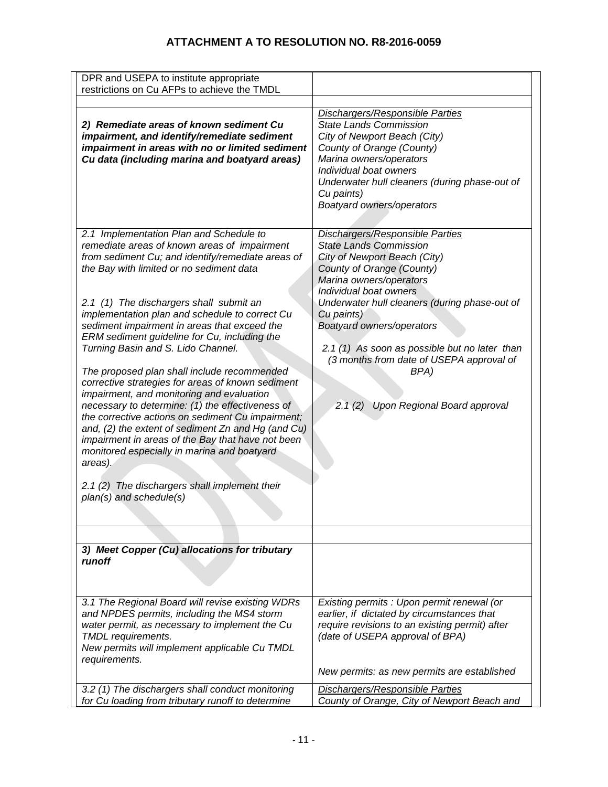| DPR and USEPA to institute appropriate<br>restrictions on Cu AFPs to achieve the TMDL                                                                                                                                                                                                                                                                                                                                       |                                                                                                                                                                                                                                                                                       |
|-----------------------------------------------------------------------------------------------------------------------------------------------------------------------------------------------------------------------------------------------------------------------------------------------------------------------------------------------------------------------------------------------------------------------------|---------------------------------------------------------------------------------------------------------------------------------------------------------------------------------------------------------------------------------------------------------------------------------------|
| 2) Remediate areas of known sediment Cu<br>impairment, and identify/remediate sediment<br>impairment in areas with no or limited sediment<br>Cu data (including marina and boatyard areas)                                                                                                                                                                                                                                  | <b>Dischargers/Responsible Parties</b><br><b>State Lands Commission</b><br>City of Newport Beach (City)<br>County of Orange (County)<br>Marina owners/operators<br>Individual boat owners<br>Underwater hull cleaners (during phase-out of<br>Cu paints)<br>Boatyard owners/operators |
| 2.1 Implementation Plan and Schedule to<br>remediate areas of known areas of impairment<br>from sediment Cu; and identify/remediate areas of<br>the Bay with limited or no sediment data                                                                                                                                                                                                                                    | <b>Dischargers/Responsible Parties</b><br><b>State Lands Commission</b><br>City of Newport Beach (City)<br>County of Orange (County)<br>Marina owners/operators<br>Individual boat owners                                                                                             |
| 2.1 (1) The dischargers shall submit an<br>implementation plan and schedule to correct Cu<br>sediment impairment in areas that exceed the<br>ERM sediment guideline for Cu, including the<br>Turning Basin and S. Lido Channel.                                                                                                                                                                                             | Underwater hull cleaners (during phase-out of<br>Cu paints)<br>Boatyard owners/operators<br>2.1 (1) As soon as possible but no later than<br>(3 months from date of USEPA approval of                                                                                                 |
| The proposed plan shall include recommended<br>corrective strategies for areas of known sediment<br>impairment, and monitoring and evaluation<br>necessary to determine: (1) the effectiveness of<br>the corrective actions on sediment Cu impairment;<br>and, (2) the extent of sediment Zn and Hg (and Cu)<br>impairment in areas of the Bay that have not been<br>monitored especially in marina and boatyard<br>areas). | BPA)<br>Upon Regional Board approval<br>2.1(2)                                                                                                                                                                                                                                        |
| 2.1 (2) The dischargers shall implement their<br>plan(s) and schedule(s)                                                                                                                                                                                                                                                                                                                                                    |                                                                                                                                                                                                                                                                                       |
|                                                                                                                                                                                                                                                                                                                                                                                                                             |                                                                                                                                                                                                                                                                                       |
| 3) Meet Copper (Cu) allocations for tributary<br>runoff                                                                                                                                                                                                                                                                                                                                                                     |                                                                                                                                                                                                                                                                                       |
| 3.1 The Regional Board will revise existing WDRs<br>and NPDES permits, including the MS4 storm<br>water permit, as necessary to implement the Cu<br><b>TMDL</b> requirements.<br>New permits will implement applicable Cu TMDL<br>requirements.                                                                                                                                                                             | Existing permits : Upon permit renewal (or<br>earlier, if dictated by circumstances that<br>require revisions to an existing permit) after<br>(date of USEPA approval of BPA)<br>New permits: as new permits are established                                                          |
| 3.2 (1) The dischargers shall conduct monitoring                                                                                                                                                                                                                                                                                                                                                                            | <b>Dischargers/Responsible Parties</b>                                                                                                                                                                                                                                                |
| for Cu loading from tributary runoff to determine                                                                                                                                                                                                                                                                                                                                                                           | County of Orange, City of Newport Beach and                                                                                                                                                                                                                                           |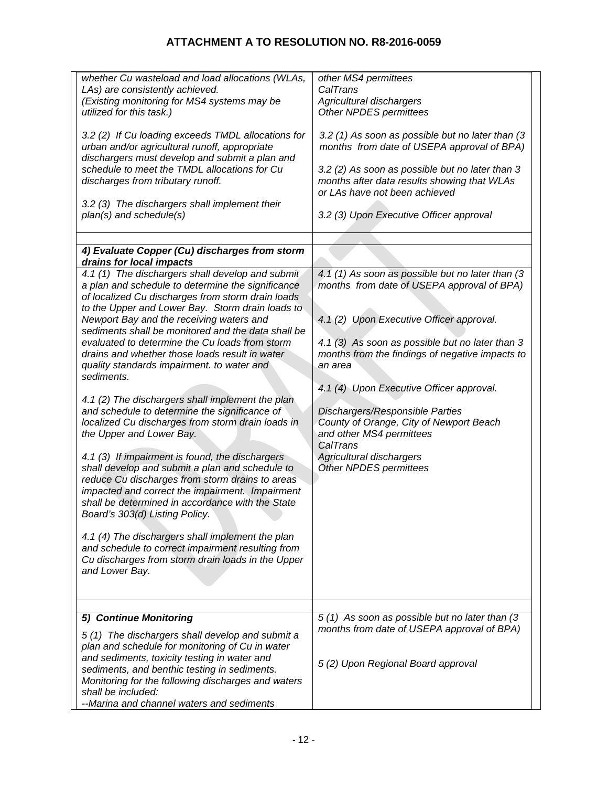| whether Cu wasteload and load allocations (WLAs,<br>LAs) are consistently achieved.<br>(Existing monitoring for MS4 systems may be<br>utilized for this task.)<br>3.2 (2) If Cu loading exceeds TMDL allocations for<br>urban and/or agricultural runoff, appropriate<br>dischargers must develop and submit a plan and<br>schedule to meet the TMDL allocations for Cu<br>discharges from tributary runoff.<br>3.2 (3) The dischargers shall implement their<br>plan(s) and schedule(s)<br>4) Evaluate Copper (Cu) discharges from storm<br>drains for local impacts<br>4.1 (1) The dischargers shall develop and submit<br>a plan and schedule to determine the significance<br>of localized Cu discharges from storm drain loads<br>to the Upper and Lower Bay. Storm drain loads to<br>Newport Bay and the receiving waters and<br>sediments shall be monitored and the data shall be<br>evaluated to determine the Cu loads from storm<br>drains and whether those loads result in water<br>quality standards impairment. to water and<br>sediments.<br>4.1 (2) The dischargers shall implement the plan<br>and schedule to determine the significance of<br>localized Cu discharges from storm drain loads in<br>the Upper and Lower Bay.<br>4.1 (3) If impairment is found, the dischargers<br>shall develop and submit a plan and schedule to<br>reduce Cu discharges from storm drains to areas<br>impacted and correct the impairment. Impairment<br>shall be determined in accordance with the State<br>Board's 303(d) Listing Policy. | other MS4 permittees<br>CalTrans<br>Agricultural dischargers<br>Other NPDES permittees<br>3.2 (1) As soon as possible but no later than (3<br>months from date of USEPA approval of BPA)<br>3.2 (2) As soon as possible but no later than 3<br>months after data results showing that WLAs<br>or LAs have not been achieved<br>3.2 (3) Upon Executive Officer approval<br>4.1 (1) As soon as possible but no later than (3<br>months from date of USEPA approval of BPA)<br>4.1 (2) Upon Executive Officer approval.<br>4.1 (3) As soon as possible but no later than 3<br>months from the findings of negative impacts to<br>an area<br>4.1 (4) Upon Executive Officer approval.<br>Dischargers/Responsible Parties<br>County of Orange, City of Newport Beach<br>and other MS4 permittees<br>CalTrans<br>Agricultural dischargers<br>Other NPDES permittees |
|---------------------------------------------------------------------------------------------------------------------------------------------------------------------------------------------------------------------------------------------------------------------------------------------------------------------------------------------------------------------------------------------------------------------------------------------------------------------------------------------------------------------------------------------------------------------------------------------------------------------------------------------------------------------------------------------------------------------------------------------------------------------------------------------------------------------------------------------------------------------------------------------------------------------------------------------------------------------------------------------------------------------------------------------------------------------------------------------------------------------------------------------------------------------------------------------------------------------------------------------------------------------------------------------------------------------------------------------------------------------------------------------------------------------------------------------------------------------------------------------------------------------------------------------------|---------------------------------------------------------------------------------------------------------------------------------------------------------------------------------------------------------------------------------------------------------------------------------------------------------------------------------------------------------------------------------------------------------------------------------------------------------------------------------------------------------------------------------------------------------------------------------------------------------------------------------------------------------------------------------------------------------------------------------------------------------------------------------------------------------------------------------------------------------------|
| 4.1 (4) The dischargers shall implement the plan<br>and schedule to correct impairment resulting from<br>Cu discharges from storm drain loads in the Upper<br>and Lower Bay.                                                                                                                                                                                                                                                                                                                                                                                                                                                                                                                                                                                                                                                                                                                                                                                                                                                                                                                                                                                                                                                                                                                                                                                                                                                                                                                                                                      |                                                                                                                                                                                                                                                                                                                                                                                                                                                                                                                                                                                                                                                                                                                                                                                                                                                               |
| 5) Continue Monitoring                                                                                                                                                                                                                                                                                                                                                                                                                                                                                                                                                                                                                                                                                                                                                                                                                                                                                                                                                                                                                                                                                                                                                                                                                                                                                                                                                                                                                                                                                                                            | 5 (1) As soon as possible but no later than (3                                                                                                                                                                                                                                                                                                                                                                                                                                                                                                                                                                                                                                                                                                                                                                                                                |
|                                                                                                                                                                                                                                                                                                                                                                                                                                                                                                                                                                                                                                                                                                                                                                                                                                                                                                                                                                                                                                                                                                                                                                                                                                                                                                                                                                                                                                                                                                                                                   | months from date of USEPA approval of BPA)                                                                                                                                                                                                                                                                                                                                                                                                                                                                                                                                                                                                                                                                                                                                                                                                                    |
| 5(1) The dischargers shall develop and submit a<br>plan and schedule for monitoring of Cu in water                                                                                                                                                                                                                                                                                                                                                                                                                                                                                                                                                                                                                                                                                                                                                                                                                                                                                                                                                                                                                                                                                                                                                                                                                                                                                                                                                                                                                                                |                                                                                                                                                                                                                                                                                                                                                                                                                                                                                                                                                                                                                                                                                                                                                                                                                                                               |
| and sediments, toxicity testing in water and                                                                                                                                                                                                                                                                                                                                                                                                                                                                                                                                                                                                                                                                                                                                                                                                                                                                                                                                                                                                                                                                                                                                                                                                                                                                                                                                                                                                                                                                                                      | 5 (2) Upon Regional Board approval                                                                                                                                                                                                                                                                                                                                                                                                                                                                                                                                                                                                                                                                                                                                                                                                                            |
| sediments, and benthic testing in sediments.                                                                                                                                                                                                                                                                                                                                                                                                                                                                                                                                                                                                                                                                                                                                                                                                                                                                                                                                                                                                                                                                                                                                                                                                                                                                                                                                                                                                                                                                                                      |                                                                                                                                                                                                                                                                                                                                                                                                                                                                                                                                                                                                                                                                                                                                                                                                                                                               |
| Monitoring for the following discharges and waters<br>shall be included:                                                                                                                                                                                                                                                                                                                                                                                                                                                                                                                                                                                                                                                                                                                                                                                                                                                                                                                                                                                                                                                                                                                                                                                                                                                                                                                                                                                                                                                                          |                                                                                                                                                                                                                                                                                                                                                                                                                                                                                                                                                                                                                                                                                                                                                                                                                                                               |
| --Marina and channel waters and sediments                                                                                                                                                                                                                                                                                                                                                                                                                                                                                                                                                                                                                                                                                                                                                                                                                                                                                                                                                                                                                                                                                                                                                                                                                                                                                                                                                                                                                                                                                                         |                                                                                                                                                                                                                                                                                                                                                                                                                                                                                                                                                                                                                                                                                                                                                                                                                                                               |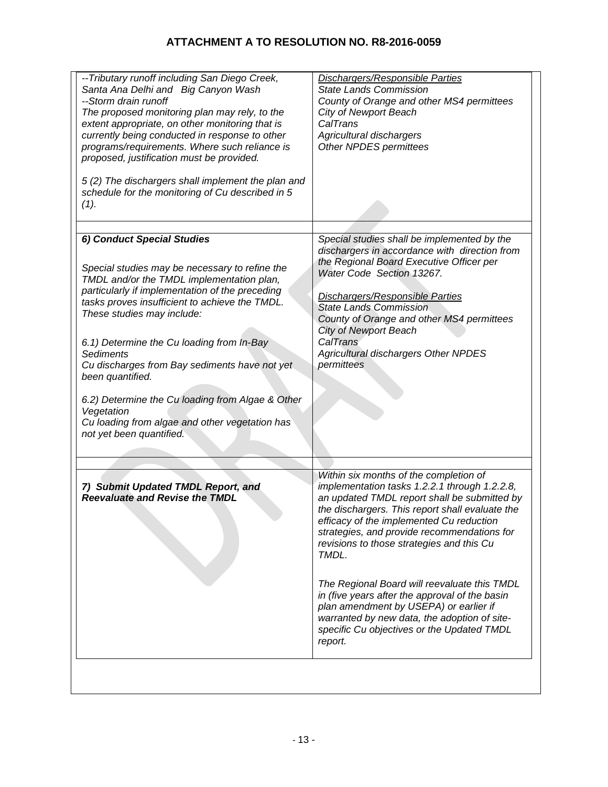| -- Tributary runoff including San Diego Creek,<br>Santa Ana Delhi and Big Canyon Wash<br>--Storm drain runoff<br>The proposed monitoring plan may rely, to the<br>extent appropriate, on other monitoring that is<br>currently being conducted in response to other<br>programs/requirements. Where such reliance is<br>proposed, justification must be provided.                                  | <b>Dischargers/Responsible Parties</b><br><b>State Lands Commission</b><br>County of Orange and other MS4 permittees<br><b>City of Newport Beach</b><br>CalTrans<br>Agricultural dischargers<br>Other NPDES permittees                                                                                                                                                                   |
|----------------------------------------------------------------------------------------------------------------------------------------------------------------------------------------------------------------------------------------------------------------------------------------------------------------------------------------------------------------------------------------------------|------------------------------------------------------------------------------------------------------------------------------------------------------------------------------------------------------------------------------------------------------------------------------------------------------------------------------------------------------------------------------------------|
| 5(2) The dischargers shall implement the plan and<br>schedule for the monitoring of Cu described in 5<br>(1).                                                                                                                                                                                                                                                                                      |                                                                                                                                                                                                                                                                                                                                                                                          |
| 6) Conduct Special Studies<br>Special studies may be necessary to refine the<br>TMDL and/or the TMDL implementation plan,<br>particularly if implementation of the preceding<br>tasks proves insufficient to achieve the TMDL.<br>These studies may include:<br>6.1) Determine the Cu loading from In-Bay<br><b>Sediments</b><br>Cu discharges from Bay sediments have not yet<br>been quantified. | Special studies shall be implemented by the<br>dischargers in accordance with direction from<br>the Regional Board Executive Officer per<br>Water Code Section 13267.<br>Dischargers/Responsible Parties<br><b>State Lands Commission</b><br>County of Orange and other MS4 permittees<br><b>City of Newport Beach</b><br>CalTrans<br>Agricultural dischargers Other NPDES<br>permittees |
| 6.2) Determine the Cu loading from Algae & Other<br>Vegetation<br>Cu loading from algae and other vegetation has<br>not yet been quantified.                                                                                                                                                                                                                                                       |                                                                                                                                                                                                                                                                                                                                                                                          |
| 7) Submit Updated TMDL Report, and<br><b>Reevaluate and Revise the TMDL</b>                                                                                                                                                                                                                                                                                                                        | Within six months of the completion of<br>implementation tasks 1.2.2.1 through 1.2.2.8,<br>an updated TMDL report shall be submitted by<br>the dischargers. This report shall evaluate the<br>efficacy of the implemented Cu reduction<br>strategies, and provide recommendations for<br>revisions to those strategies and this Cu<br>TMDL.                                              |
|                                                                                                                                                                                                                                                                                                                                                                                                    | The Regional Board will reevaluate this TMDL<br>in (five years after the approval of the basin<br>plan amendment by USEPA) or earlier if<br>warranted by new data, the adoption of site-<br>specific Cu objectives or the Updated TMDL<br>report.                                                                                                                                        |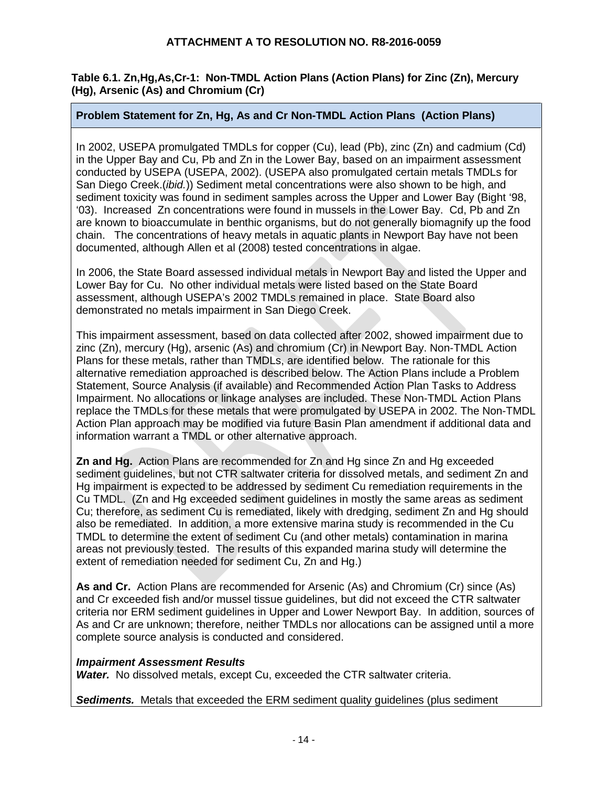### **Table 6.1. Zn,Hg,As,Cr-1: Non-TMDL Action Plans (Action Plans) for Zinc (Zn), Mercury (Hg), Arsenic (As) and Chromium (Cr)**

# **Problem Statement for Zn, Hg, As and Cr Non-TMDL Action Plans (Action Plans)**

In 2002, USEPA promulgated TMDLs for copper (Cu), lead (Pb), zinc (Zn) and cadmium (Cd) in the Upper Bay and Cu, Pb and Zn in the Lower Bay, based on an impairment assessment conducted by USEPA (USEPA, 2002). (USEPA also promulgated certain metals TMDLs for San Diego Creek.(*ibid.*)) Sediment metal concentrations were also shown to be high, and sediment toxicity was found in sediment samples across the Upper and Lower Bay (Bight '98, '03). Increased Zn concentrations were found in mussels in the Lower Bay. Cd, Pb and Zn are known to bioaccumulate in benthic organisms, but do not generally biomagnify up the food chain. The concentrations of heavy metals in aquatic plants in Newport Bay have not been documented, although Allen et al (2008) tested concentrations in algae.

In 2006, the State Board assessed individual metals in Newport Bay and listed the Upper and Lower Bay for Cu. No other individual metals were listed based on the State Board assessment, although USEPA's 2002 TMDLs remained in place. State Board also demonstrated no metals impairment in San Diego Creek.

This impairment assessment, based on data collected after 2002, showed impairment due to zinc (Zn), mercury (Hg), arsenic (As) and chromium (Cr) in Newport Bay. Non-TMDL Action Plans for these metals, rather than TMDLs, are identified below. The rationale for this alternative remediation approached is described below. The Action Plans include a Problem Statement, Source Analysis (if available) and Recommended Action Plan Tasks to Address Impairment. No allocations or linkage analyses are included. These Non-TMDL Action Plans replace the TMDLs for these metals that were promulgated by USEPA in 2002. The Non-TMDL Action Plan approach may be modified via future Basin Plan amendment if additional data and information warrant a TMDL or other alternative approach.

**Zn and Hg.** Action Plans are recommended for Zn and Hg since Zn and Hg exceeded sediment guidelines, but not CTR saltwater criteria for dissolved metals, and sediment Zn and Hg impairment is expected to be addressed by sediment Cu remediation requirements in the Cu TMDL. (Zn and Hg exceeded sediment guidelines in mostly the same areas as sediment Cu; therefore, as sediment Cu is remediated, likely with dredging, sediment Zn and Hg should also be remediated. In addition, a more extensive marina study is recommended in the Cu TMDL to determine the extent of sediment Cu (and other metals) contamination in marina areas not previously tested. The results of this expanded marina study will determine the extent of remediation needed for sediment Cu, Zn and Hg.)

**As and Cr.** Action Plans are recommended for Arsenic (As) and Chromium (Cr) since (As) and Cr exceeded fish and/or mussel tissue guidelines, but did not exceed the CTR saltwater criteria nor ERM sediment guidelines in Upper and Lower Newport Bay. In addition, sources of As and Cr are unknown; therefore, neither TMDLs nor allocations can be assigned until a more complete source analysis is conducted and considered.

### *Impairment Assessment Results*

*Water.* No dissolved metals, except Cu, exceeded the CTR saltwater criteria.

**Sediments.** Metals that exceeded the ERM sediment quality guidelines (plus sediment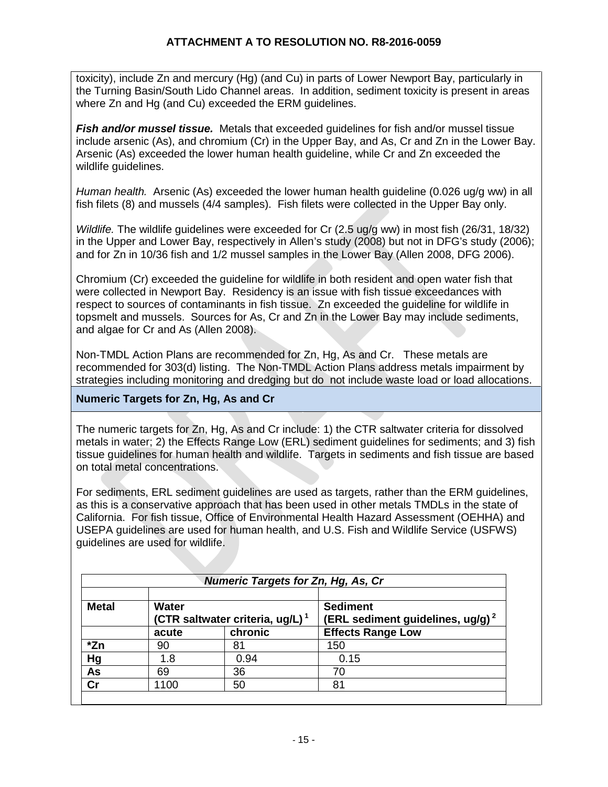toxicity), include Zn and mercury (Hg) (and Cu) in parts of Lower Newport Bay, particularly in the Turning Basin/South Lido Channel areas. In addition, sediment toxicity is present in areas where Zn and Hg (and Cu) exceeded the ERM guidelines.

*Fish and/or mussel tissue.* Metals that exceeded guidelines for fish and/or mussel tissue include arsenic (As), and chromium (Cr) in the Upper Bay, and As, Cr and Zn in the Lower Bay. Arsenic (As) exceeded the lower human health guideline, while Cr and Zn exceeded the wildlife guidelines.

*Human health.* Arsenic (As) exceeded the lower human health guideline (0.026 ug/g ww) in all fish filets (8) and mussels (4/4 samples). Fish filets were collected in the Upper Bay only.

*Wildlife.* The wildlife guidelines were exceeded for Cr (2.5 ug/g ww) in most fish (26/31, 18/32) in the Upper and Lower Bay, respectively in Allen's study (2008) but not in DFG's study (2006); and for Zn in 10/36 fish and 1/2 mussel samples in the Lower Bay (Allen 2008, DFG 2006).

Chromium (Cr) exceeded the guideline for wildlife in both resident and open water fish that were collected in Newport Bay. Residency is an issue with fish tissue exceedances with respect to sources of contaminants in fish tissue. Zn exceeded the guideline for wildlife in topsmelt and mussels. Sources for As, Cr and Zn in the Lower Bay may include sediments, and algae for Cr and As (Allen 2008).

Non-TMDL Action Plans are recommended for Zn, Hg, As and Cr. These metals are recommended for 303(d) listing. The Non-TMDL Action Plans address metals impairment by strategies including monitoring and dredging but do not include waste load or load allocations.

# **Numeric Targets for Zn, Hg, As and Cr**

The numeric targets for Zn, Hg, As and Cr include: 1) the CTR saltwater criteria for dissolved metals in water; 2) the Effects Range Low (ERL) sediment guidelines for sediments; and 3) fish tissue guidelines for human health and wildlife. Targets in sediments and fish tissue are based on total metal concentrations.

For sediments, ERL sediment guidelines are used as targets, rather than the ERM guidelines, as this is a conservative approach that has been used in other metals TMDLs in the state of California. For fish tissue, Office of Environmental Health Hazard Assessment (OEHHA) and USEPA guidelines are used for human health, and U.S. Fish and Wildlife Service (USFWS) guidelines are used for wildlife.

|               |                                                             | <b>Numeric Targets for Zn, Hg, As, Cr</b> |                                                                    |
|---------------|-------------------------------------------------------------|-------------------------------------------|--------------------------------------------------------------------|
| <b>Metal</b>  | <b>Water</b><br>(CTR saltwater criteria, ug/L) <sup>1</sup> |                                           | <b>Sediment</b><br>(ERL sediment guidelines, $ug/g$ ) <sup>2</sup> |
|               | acute                                                       | chronic                                   | <b>Effects Range Low</b>                                           |
| *Zn           | 90                                                          | 81                                        | 150                                                                |
| Hg            | 1.8                                                         | 0.94                                      | 0.15                                                               |
| As            | 69                                                          | 36                                        | 70                                                                 |
| $\mathsf{Cr}$ | 1100                                                        | 50                                        | 81                                                                 |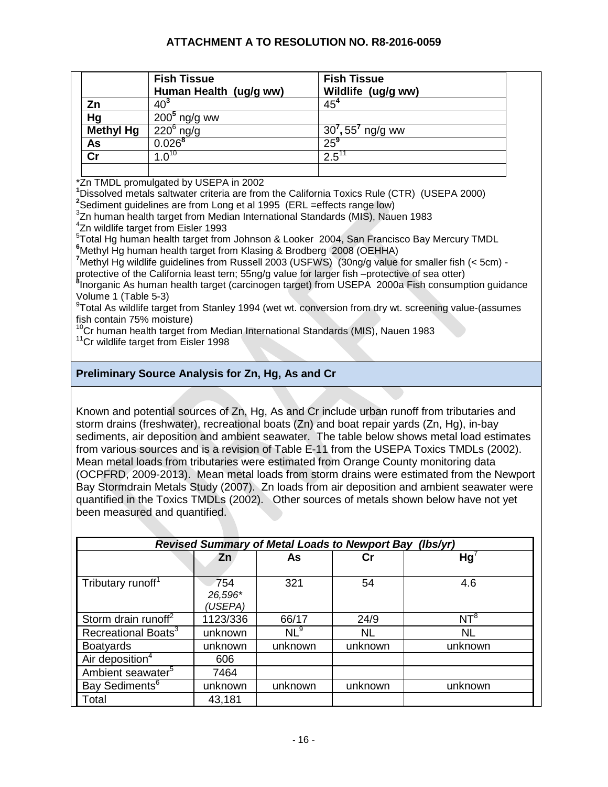|                  | <b>Fish Tissue</b><br>Human Health (ug/g ww)                                              | <b>Fish Tissue</b><br>Wildlife (ug/g ww)                                                                |
|------------------|-------------------------------------------------------------------------------------------|---------------------------------------------------------------------------------------------------------|
| Zn               | $40^{3}$                                                                                  | 45 <sup>4</sup>                                                                                         |
| Hg               | $2005$ ng/g ww                                                                            |                                                                                                         |
| <b>Methyl Hg</b> | $\overline{220}^6$ ng/g                                                                   | $30^{7}$ , 55 <sup>7</sup> ng/g ww                                                                      |
| As               | $0.026^{8}$                                                                               | $25^9$                                                                                                  |
| cr               | $1.0^{10}$                                                                                | $2.5^{11}$                                                                                              |
|                  |                                                                                           |                                                                                                         |
|                  | *Zn TMDL promulgated by USEPA in 2002                                                     |                                                                                                         |
|                  |                                                                                           | <sup>1</sup> Dissolved metals saltwater criteria are from the California Toxics Rule (CTR) (USEPA 2000) |
|                  | <sup>2</sup> Sediment guidelines are from Long et al 1995 (ERL = effects range low)       |                                                                                                         |
|                  | <sup>3</sup> Zn human health target from Median International Standards (MIS), Nauen 1983 |                                                                                                         |
|                  | $47$ n wildlife torget from Eigler 1002                                                   |                                                                                                         |

<sup>4</sup>Zn wildlife target from Eisler 1993

5 Total Hg human health target from Johnson & Looker 2004, San Francisco Bay Mercury TMDL **6** Methyl Hg human health target from Klasing & Brodberg 2008 (OEHHA)

<sup>7</sup>Methyl Hg wildlife guidelines from Russell 2003 (USFWS) (30ng/g value for smaller fish (< 5cm) protective of the California least tern; 55ng/g value for larger fish –protective of sea otter)

<sup>3</sup>Inorganic As human health target (carcinogen target) from USEPA 2000a Fish consumption guidance Volume 1 (Table 5-3) 9

 $\textdegree$ Total As wildlife target from Stanley 1994 (wet wt. conversion from dry wt. screening value-(assumes fish contain 75% moisture)

 $10^{\circ}$ Cr human health target from Median International Standards (MIS), Nauen 1983<br> $11^{\circ}$ Cr wildlife target from Eisler 1998

# **Preliminary Source Analysis for Zn, Hg, As and Cr**

Known and potential sources of Zn, Hg, As and Cr include urban runoff from tributaries and storm drains (freshwater), recreational boats (Zn) and boat repair yards (Zn, Hg), in-bay sediments, air deposition and ambient seawater. The table below shows metal load estimates from various sources and is a revision of Table E-11 from the USEPA Toxics TMDLs (2002). Mean metal loads from tributaries were estimated from Orange County monitoring data (OCPFRD, 2009-2013). Mean metal loads from storm drains were estimated from the Newport Bay Stormdrain Metals Study (2007). Zn loads from air deposition and ambient seawater were quantified in the Toxics TMDLs (2002). Other sources of metals shown below have not yet been measured and quantified.

| <b>Revised Summary of Metal Loads to Newport Bay</b><br>(lbs/yr) |                           |                 |           |           |  |
|------------------------------------------------------------------|---------------------------|-----------------|-----------|-----------|--|
|                                                                  | Zn                        | As              | Сr        | Hg'       |  |
| Tributary runoff <sup>1</sup>                                    | 754<br>26,596*<br>(USEPA) | 321             | 54        | 4.6       |  |
| Storm drain runoff <sup>2</sup>                                  | 1123/336                  | 66/17           | 24/9      | $NT^8$    |  |
| Recreational Boats <sup>3</sup>                                  | unknown                   | NL <sup>9</sup> | <b>NL</b> | <b>NL</b> |  |
| <b>Boatyards</b>                                                 | unknown                   | unknown         | unknown   | unknown   |  |
| Air deposition $4$                                               | 606                       |                 |           |           |  |
| Ambient seawater <sup>5</sup>                                    | 7464                      |                 |           |           |  |
| Bay Sediments <sup>6</sup>                                       | unknown                   | unknown         | unknown   | unknown   |  |
| Total                                                            | 43,181                    |                 |           |           |  |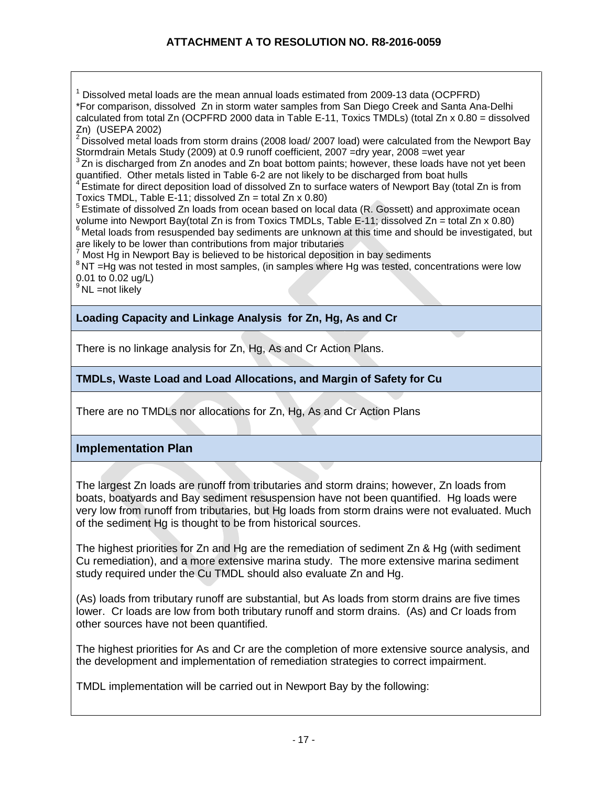$1$  Dissolved metal loads are the mean annual loads estimated from 2009-13 data (OCPFRD) \*For comparison, dissolved Zn in storm water samples from San Diego Creek and Santa Ana-Delhi calculated from total Zn (OCPFRD 2000 data in Table E-11, Toxics TMDLs) (total Zn x 0.80 = dissolved Zn) (USEPA 2002)

 $2$  Dissolved metal loads from storm drains (2008 load/ 2007 load) were calculated from the Newport Bay Stormdrain Metals Study (2009) at 0.9 runoff coefficient, 2007 =dry year, 2008 =wet year  $3$  Zn is discharged from Zn anodes and Zn boat bottom paints; however, these loads have not yet been

quantified. Other metals listed in Table 6-2 are not likely to be discharged from boat hulls<br>4 Estimate for direct deposition load of dissolved Zn to surface waters of Newport Bay (total Zn is from<br>Toxics TMDL, Table E-11;

 $5$  Estimate of dissolved Zn loads from ocean based on local data (R. Gossett) and approximate ocean volume into Newport Bay(total Zn is from Toxics TMDLs, Table E-11; dissolved Zn = total Zn x 0.80)<br>
<sup>6</sup> Metal loads from resuspended bay sediments are unknown at this time and should be investigated, but are likely to be lower than contributions from major tributaries

<sup>7</sup> Most Hg in Newport Bay is believed to be historical deposition in bay sediments

 $8$  NT =Hg was not tested in most samples, (in samples where Hg was tested, concentrations were low 0.01 to 0.02 ug/L)

 $9^9$  NL =not likely

**Loading Capacity and Linkage Analysis for Zn, Hg, As and Cr**

There is no linkage analysis for Zn, Hg, As and Cr Action Plans.

# **TMDLs, Waste Load and Load Allocations, and Margin of Safety for Cu**

There are no TMDLs nor allocations for Zn, Hg, As and Cr Action Plans

# **Implementation Plan**

The largest Zn loads are runoff from tributaries and storm drains; however, Zn loads from boats, boatyards and Bay sediment resuspension have not been quantified. Hg loads were very low from runoff from tributaries, but Hg loads from storm drains were not evaluated. Much of the sediment Hg is thought to be from historical sources.

The highest priorities for Zn and Hg are the remediation of sediment Zn & Hg (with sediment Cu remediation), and a more extensive marina study. The more extensive marina sediment study required under the Cu TMDL should also evaluate Zn and Hg.

(As) loads from tributary runoff are substantial, but As loads from storm drains are five times lower. Cr loads are low from both tributary runoff and storm drains. (As) and Cr loads from other sources have not been quantified.

The highest priorities for As and Cr are the completion of more extensive source analysis, and the development and implementation of remediation strategies to correct impairment.

TMDL implementation will be carried out in Newport Bay by the following: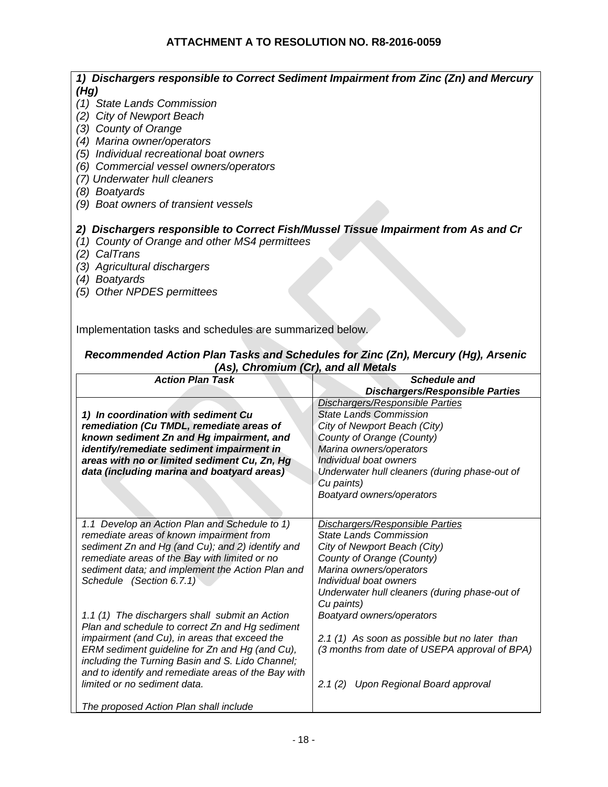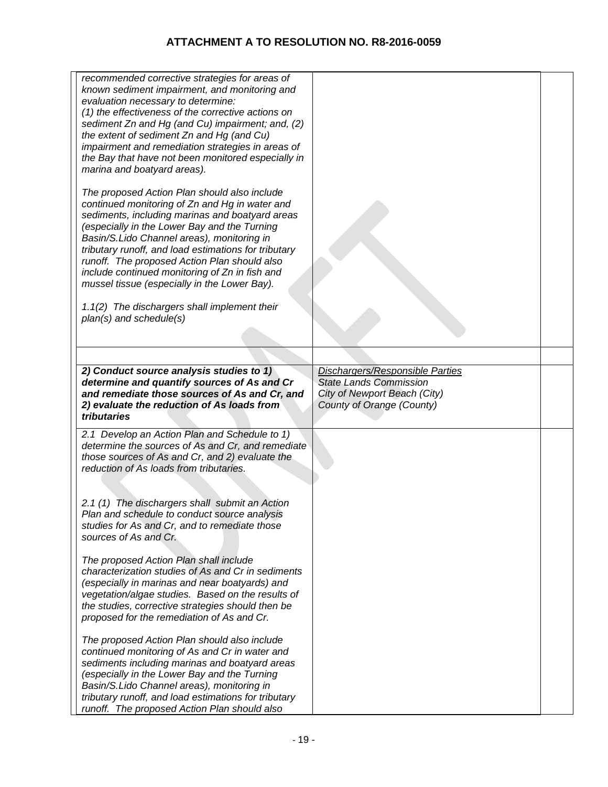| recommended corrective strategies for areas of<br>known sediment impairment, and monitoring and<br>evaluation necessary to determine:<br>(1) the effectiveness of the corrective actions on<br>sediment Zn and Hg (and Cu) impairment; and, (2)<br>the extent of sediment Zn and Hg (and Cu)<br>impairment and remediation strategies in areas of<br>the Bay that have not been monitored especially in<br>marina and boatyard areas).<br>The proposed Action Plan should also include<br>continued monitoring of Zn and Hg in water and<br>sediments, including marinas and boatyard areas<br>(especially in the Lower Bay and the Turning<br>Basin/S.Lido Channel areas), monitoring in<br>tributary runoff, and load estimations for tributary<br>runoff. The proposed Action Plan should also<br>include continued monitoring of Zn in fish and<br>mussel tissue (especially in the Lower Bay).<br>1.1(2) The dischargers shall implement their<br>plan(s) and schedule(s) |                                                                                                                               |  |
|--------------------------------------------------------------------------------------------------------------------------------------------------------------------------------------------------------------------------------------------------------------------------------------------------------------------------------------------------------------------------------------------------------------------------------------------------------------------------------------------------------------------------------------------------------------------------------------------------------------------------------------------------------------------------------------------------------------------------------------------------------------------------------------------------------------------------------------------------------------------------------------------------------------------------------------------------------------------------------|-------------------------------------------------------------------------------------------------------------------------------|--|
|                                                                                                                                                                                                                                                                                                                                                                                                                                                                                                                                                                                                                                                                                                                                                                                                                                                                                                                                                                                |                                                                                                                               |  |
|                                                                                                                                                                                                                                                                                                                                                                                                                                                                                                                                                                                                                                                                                                                                                                                                                                                                                                                                                                                |                                                                                                                               |  |
| 2) Conduct source analysis studies to 1)<br>determine and quantify sources of As and Cr<br>and remediate those sources of As and Cr, and<br>2) evaluate the reduction of As loads from<br>tributaries                                                                                                                                                                                                                                                                                                                                                                                                                                                                                                                                                                                                                                                                                                                                                                          | Dischargers/Responsible Parties<br><b>State Lands Commission</b><br>City of Newport Beach (City)<br>County of Orange (County) |  |
| 2.1 Develop an Action Plan and Schedule to 1)<br>determine the sources of As and Cr, and remediate<br>those sources of As and Cr, and 2) evaluate the<br>reduction of As loads from tributaries.<br>2.1 (1) The dischargers shall submit an Action<br>Plan and schedule to conduct source analysis<br>studies for As and Cr, and to remediate those<br>sources of As and Cr.<br>The proposed Action Plan shall include<br>characterization studies of As and Cr in sediments<br>(especially in marinas and near boatyards) and<br>vegetation/algae studies. Based on the results of<br>the studies, corrective strategies should then be<br>proposed for the remediation of As and Cr.                                                                                                                                                                                                                                                                                         |                                                                                                                               |  |
| The proposed Action Plan should also include<br>continued monitoring of As and Cr in water and<br>sediments including marinas and boatyard areas<br>(especially in the Lower Bay and the Turning<br>Basin/S.Lido Channel areas), monitoring in<br>tributary runoff, and load estimations for tributary<br>runoff. The proposed Action Plan should also                                                                                                                                                                                                                                                                                                                                                                                                                                                                                                                                                                                                                         |                                                                                                                               |  |